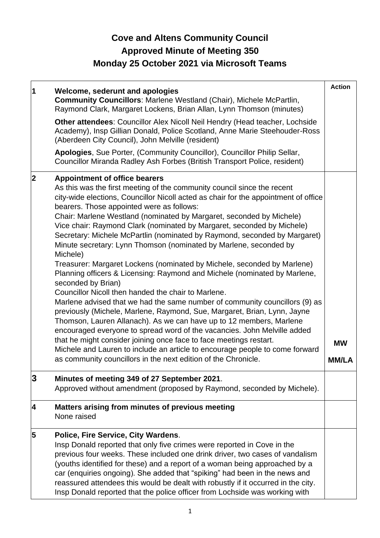## **Cove and Altens Community Council Approved Minute of Meeting 350 Monday 25 October 2021 via Microsoft Teams**

| $\vert$ 1   | Welcome, sederunt and apologies<br><b>Community Councillors: Marlene Westland (Chair), Michele McPartlin,</b><br>Raymond Clark, Margaret Lockens, Brian Allan, Lynn Thomson (minutes)<br>Other attendees: Councillor Alex Nicoll Neil Hendry (Head teacher, Lochside<br>Academy), Insp Gillian Donald, Police Scotland, Anne Marie Steehouder-Ross<br>(Aberdeen City Council), John Melville (resident)<br>Apologies, Sue Porter, (Community Councillor), Councillor Philip Sellar,<br>Councillor Miranda Radley Ash Forbes (British Transport Police, resident)                                                                                                                                                                                                                                                                                                                                                                                                                                                                                                                                                                                                                                                                                                                                                                               | <b>Action</b>             |
|-------------|------------------------------------------------------------------------------------------------------------------------------------------------------------------------------------------------------------------------------------------------------------------------------------------------------------------------------------------------------------------------------------------------------------------------------------------------------------------------------------------------------------------------------------------------------------------------------------------------------------------------------------------------------------------------------------------------------------------------------------------------------------------------------------------------------------------------------------------------------------------------------------------------------------------------------------------------------------------------------------------------------------------------------------------------------------------------------------------------------------------------------------------------------------------------------------------------------------------------------------------------------------------------------------------------------------------------------------------------|---------------------------|
| $\mathbf 2$ | <b>Appointment of office bearers</b><br>As this was the first meeting of the community council since the recent<br>city-wide elections, Councillor Nicoll acted as chair for the appointment of office<br>bearers. Those appointed were as follows:<br>Chair: Marlene Westland (nominated by Margaret, seconded by Michele)<br>Vice chair: Raymond Clark (nominated by Margaret, seconded by Michele)<br>Secretary: Michele McPartlin (nominated by Raymond, seconded by Margaret)<br>Minute secretary: Lynn Thomson (nominated by Marlene, seconded by<br>Michele)<br>Treasurer: Margaret Lockens (nominated by Michele, seconded by Marlene)<br>Planning officers & Licensing: Raymond and Michele (nominated by Marlene,<br>seconded by Brian)<br>Councillor Nicoll then handed the chair to Marlene.<br>Marlene advised that we had the same number of community councillors (9) as<br>previously (Michele, Marlene, Raymond, Sue, Margaret, Brian, Lynn, Jayne<br>Thomson, Lauren Allanach). As we can have up to 12 members, Marlene<br>encouraged everyone to spread word of the vacancies. John Melville added<br>that he might consider joining once face to face meetings restart.<br>Michele and Lauren to include an article to encourage people to come forward<br>as community councillors in the next edition of the Chronicle. | <b>MW</b><br><b>MM/LA</b> |
| 3           | Minutes of meeting 349 of 27 September 2021.<br>Approved without amendment (proposed by Raymond, seconded by Michele).                                                                                                                                                                                                                                                                                                                                                                                                                                                                                                                                                                                                                                                                                                                                                                                                                                                                                                                                                                                                                                                                                                                                                                                                                         |                           |
| 4           | Matters arising from minutes of previous meeting<br>None raised                                                                                                                                                                                                                                                                                                                                                                                                                                                                                                                                                                                                                                                                                                                                                                                                                                                                                                                                                                                                                                                                                                                                                                                                                                                                                |                           |
| 5           | Police, Fire Service, City Wardens.<br>Insp Donald reported that only five crimes were reported in Cove in the<br>previous four weeks. These included one drink driver, two cases of vandalism<br>(youths identified for these) and a report of a woman being approached by a<br>car (enquiries ongoing). She added that "spiking" had been in the news and<br>reassured attendees this would be dealt with robustly if it occurred in the city.<br>Insp Donald reported that the police officer from Lochside was working with                                                                                                                                                                                                                                                                                                                                                                                                                                                                                                                                                                                                                                                                                                                                                                                                                |                           |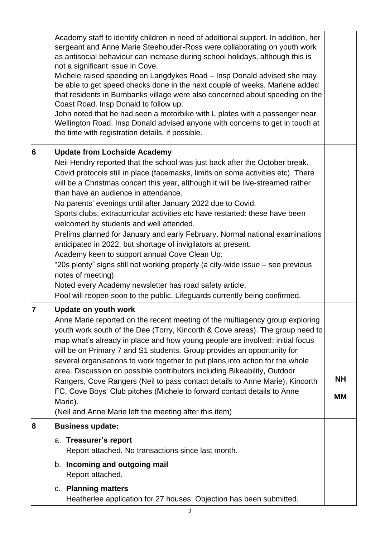|   | Academy staff to identify children in need of additional support. In addition, her<br>sergeant and Anne Marie Steehouder-Ross were collaborating on youth work<br>as antisocial behaviour can increase during school holidays, although this is<br>not a significant issue in Cove.<br>Michele raised speeding on Langdykes Road – Insp Donald advised she may<br>be able to get speed checks done in the next couple of weeks. Marlene added<br>that residents in Burnbanks village were also concerned about speeding on the<br>Coast Road. Insp Donald to follow up.<br>John noted that he had seen a motorbike with L plates with a passenger near<br>Wellington Road. Insp Donald advised anyone with concerns to get in touch at<br>the time with registration details, if possible.                                                                                                                                                                                      |                 |
|---|---------------------------------------------------------------------------------------------------------------------------------------------------------------------------------------------------------------------------------------------------------------------------------------------------------------------------------------------------------------------------------------------------------------------------------------------------------------------------------------------------------------------------------------------------------------------------------------------------------------------------------------------------------------------------------------------------------------------------------------------------------------------------------------------------------------------------------------------------------------------------------------------------------------------------------------------------------------------------------|-----------------|
| 6 | <b>Update from Lochside Academy</b><br>Neil Hendry reported that the school was just back after the October break.<br>Covid protocols still in place (facemasks, limits on some activities etc). There<br>will be a Christmas concert this year, although it will be live-streamed rather<br>than have an audience in attendance.<br>No parents' evenings until after January 2022 due to Covid.<br>Sports clubs, extracurricular activities etc have restarted: these have been<br>welcomed by students and well attended.<br>Prelims planned for January and early February. Normal national examinations<br>anticipated in 2022, but shortage of invigilators at present.<br>Academy keen to support annual Cove Clean Up.<br>"20s plenty" signs still not working properly (a city-wide issue – see previous<br>notes of meeting).<br>Noted every Academy newsletter has road safety article.<br>Pool will reopen soon to the public. Lifeguards currently being confirmed. |                 |
| 7 | Update on youth work<br>Anne Marie reported on the recent meeting of the multiagency group exploring<br>youth work south of the Dee (Torry, Kincorth & Cove areas). The group need to<br>map what's already in place and how young people are involved; initial focus<br>will be on Primary 7 and S1 students. Group provides an opportunity for<br>several organisations to work together to put plans into action for the whole<br>area. Discussion on possible contributors including Bikeability, Outdoor<br>Rangers, Cove Rangers (Neil to pass contact details to Anne Marie), Kincorth<br>FC, Cove Boys' Club pitches (Michele to forward contact details to Anne<br>Marie).<br>(Neil and Anne Marie left the meeting after this item)                                                                                                                                                                                                                                   | <b>NH</b><br>MМ |
| 8 | <b>Business update:</b>                                                                                                                                                                                                                                                                                                                                                                                                                                                                                                                                                                                                                                                                                                                                                                                                                                                                                                                                                         |                 |
|   | a. Treasurer's report<br>Report attached. No transactions since last month.                                                                                                                                                                                                                                                                                                                                                                                                                                                                                                                                                                                                                                                                                                                                                                                                                                                                                                     |                 |
|   | b. Incoming and outgoing mail<br>Report attached.                                                                                                                                                                                                                                                                                                                                                                                                                                                                                                                                                                                                                                                                                                                                                                                                                                                                                                                               |                 |
|   | c. Planning matters<br>Heatherlee application for 27 houses: Objection has been submitted.                                                                                                                                                                                                                                                                                                                                                                                                                                                                                                                                                                                                                                                                                                                                                                                                                                                                                      |                 |